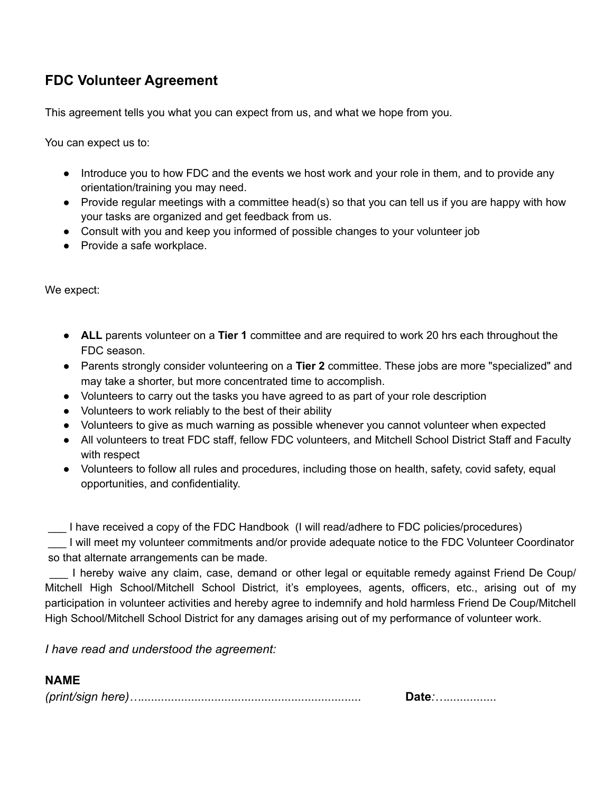## **FDC Volunteer Agreement**

This agreement tells you what you can expect from us, and what we hope from you.

You can expect us to:

- Introduce you to how FDC and the events we host work and your role in them, and to provide any orientation/training you may need.
- Provide regular meetings with a committee head(s) so that you can tell us if you are happy with how your tasks are organized and get feedback from us.
- Consult with you and keep you informed of possible changes to your volunteer job
- Provide a safe workplace.

We expect:

- **ALL** parents volunteer on a **Tier 1** committee and are required to work 20 hrs each throughout the FDC season.
- Parents strongly consider volunteering on a **Tier 2** committee. These jobs are more "specialized" and may take a shorter, but more concentrated time to accomplish.
- Volunteers to carry out the tasks you have agreed to as part of your role description
- Volunteers to work reliably to the best of their ability
- Volunteers to give as much warning as possible whenever you cannot volunteer when expected
- All volunteers to treat FDC staff, fellow FDC volunteers, and Mitchell School District Staff and Faculty with respect
- Volunteers to follow all rules and procedures, including those on health, safety, covid safety, equal opportunities, and confidentiality.

\_\_\_ I have received a copy of the FDC Handbook (I will read/adhere to FDC policies/procedures)

I will meet my volunteer commitments and/or provide adequate notice to the FDC Volunteer Coordinator so that alternate arrangements can be made.

I hereby waive any claim, case, demand or other legal or equitable remedy against Friend De Coup/ Mitchell High School/Mitchell School District, it's employees, agents, officers, etc., arising out of my participation in volunteer activities and hereby agree to indemnify and hold harmless Friend De Coup/Mitchell High School/Mitchell School District for any damages arising out of my performance of volunteer work.

*I have read and understood the agreement:*

## **NAME**

*(print/sign here)…..................................................................* **Date***:…...............*